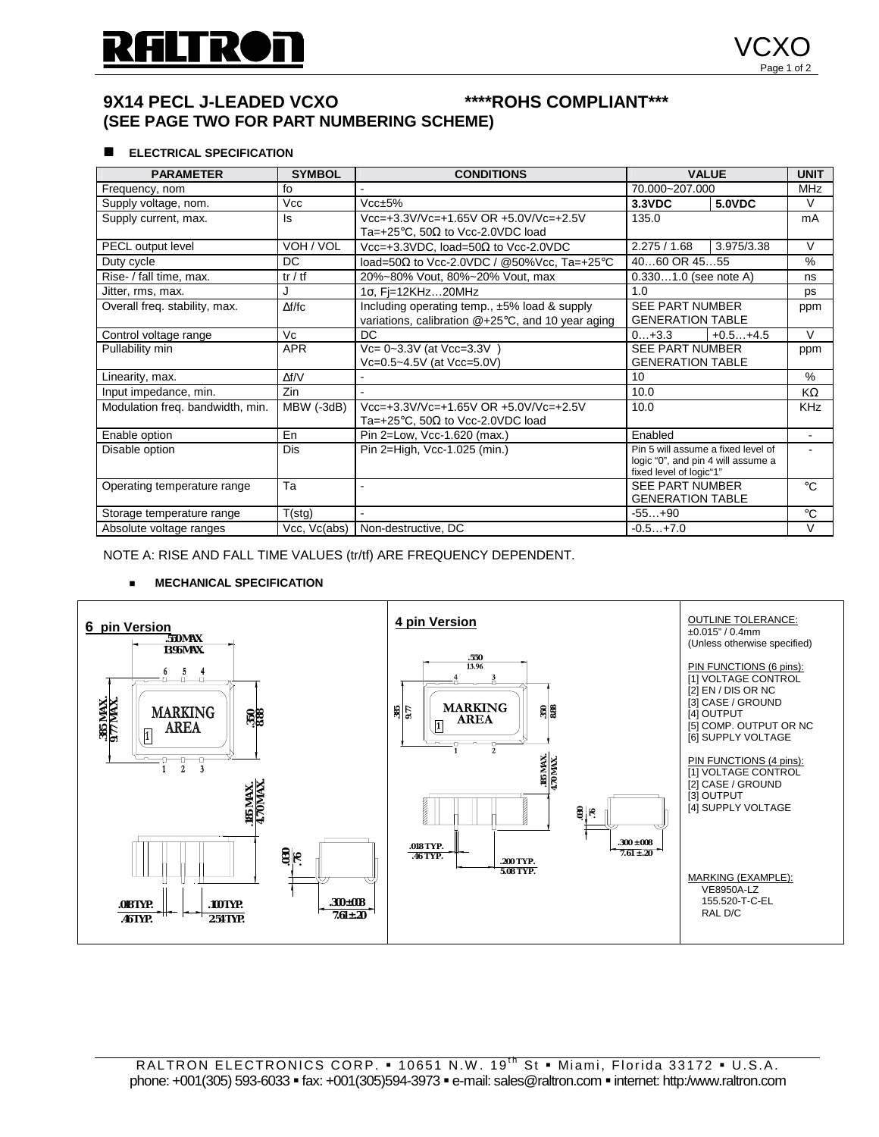# **9X14 PECL J-LEADED VCXO \*\*\*\*ROHS COMPLIANT\*\*\* (SEE PAGE TWO FOR PART NUMBERING SCHEME)**

#### **ELECTRICAL SPECIFICATION**

| <b>PARAMETER</b>                 | <b>SYMBOL</b> | <b>CONDITIONS</b>                                  | <b>VALUE</b>                                      |            | <b>UNIT</b>    |
|----------------------------------|---------------|----------------------------------------------------|---------------------------------------------------|------------|----------------|
| Frequency, nom                   | fo            |                                                    | 70.000~207.000                                    |            | <b>MHz</b>     |
| Supply voltage, nom.             | <b>Vcc</b>    | Vccpm5%                                            | <b>5.0VDC</b><br>3.3VDC                           |            | $\vee$         |
| Supply current, max.             | ls            | Vcc=+3.3V/Vc=+1.65V OR +5.0V/Vc=+2.5V              | 135.0                                             |            | mA             |
|                                  |               | Ta=+25 $\degree$ C, 50 $\Omega$ to Vcc-2.0VDC load |                                                   |            |                |
| PECL output level                | VOH / VOL     | Vcc=+3.3VDC, load=50 $\Omega$ to Vcc-2.0VDC        | 3.975/3.38<br>2.275/1.68                          |            | V              |
| Duty cycle                       | DC.           | load=50 $\Omega$ to Vcc-2.0VDC / @50%Vcc, Ta=+25°C | 4060 OR 4555                                      |            | %              |
| Rise- / fall time, max.          | tr / tf       | 20%~80% Vout, 80%~20% Vout, max                    | $0.3301.0$ (see note A)                           |            | ns             |
| Jitter, rms, max.                | J             | $1\sigma$ , Fi=12KHz20MHz                          | 1.0                                               |            | ps             |
| Overall freq. stability, max.    | $\Delta f/fc$ | Including operating temp., ±5% load & supply       | <b>SEE PART NUMBER</b>                            |            | ppm            |
|                                  |               | variations, calibration @+25°C, and 10 year aging  | <b>GENERATION TABLE</b>                           |            |                |
| Control voltage range            | Vc            | DC.                                                | $0+3.3$                                           | $+0.5+4.5$ | $\vee$         |
| Pullability min                  | <b>APR</b>    | Vc= 0~3.3V (at Vcc=3.3V)                           | <b>SEE PART NUMBER</b>                            |            | ppm            |
|                                  |               | Vc=0.5~4.5V (at Vcc=5.0V)                          | <b>GENERATION TABLE</b>                           |            |                |
| Linearity, max.                  | $\Delta f/V$  |                                                    | 10                                                |            | $\frac{0}{0}$  |
| Input impedance, min.            | Zin           |                                                    | 10.0                                              |            | KΩ             |
| Modulation freg. bandwidth, min. | MBW (-3dB)    | Vcc=+3.3V/Vc=+1.65V OR +5.0V/Vc=+2.5V              | 10.0                                              |            | <b>KHz</b>     |
|                                  |               | Ta=+25 $\degree$ C, 50 $\Omega$ to Vcc-2.0VDC load |                                                   |            |                |
| Enable option                    | En            | Pin 2=Low, Vcc-1.620 (max.)                        | Enabled                                           |            | $\blacksquare$ |
| Disable option                   | <b>Dis</b>    | Pin 2=High, Vcc-1.025 (min.)                       | Pin 5 will assume a fixed level of                |            |                |
|                                  |               |                                                    | logic "0", and pin 4 will assume a                |            |                |
| Operating temperature range      | Ta            |                                                    | fixed level of logic"1"<br><b>SEE PART NUMBER</b> |            | $^{\circ}C$    |
|                                  |               |                                                    | <b>GENERATION TABLE</b>                           |            |                |
| Storage temperature range        | T(stg)        | $-55+90$                                           |                                                   |            | $^{\circ}C$    |
| Absolute voltage ranges          | Vcc, Vc(abs)  | Non-destructive, DC                                | $-0.5+7.0$                                        |            | V              |

֧֖֖֖֚֚֚֞֝֬ NOTE A: RISE AND FALL TIME VALUES (tr/tf) ARE FREQUENCY DEPENDENT.

#### **EXECUTE MECHANICAL SPECIFICATION**